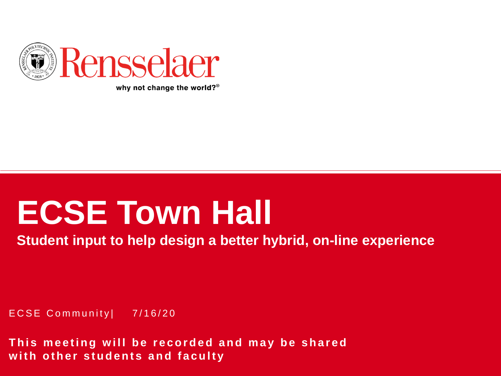

why not change the world? $\degree$ 

# **ECSE Town Hall**

**Student input to help design a better hybrid, on-line experience**

ECSE Community| 7/16/20

**This meeting will be recorded and may be shared with other students and faculty**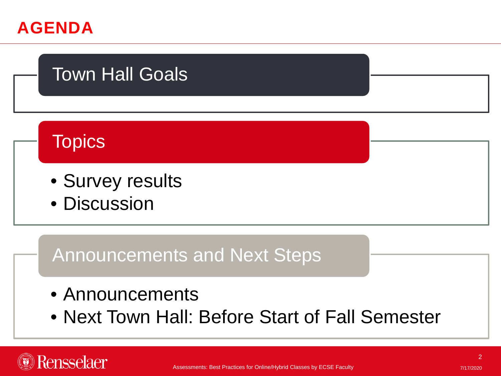

Rensselaer

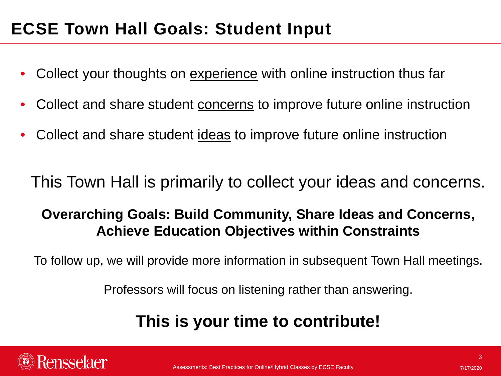# **ECSE Town Hall Goals: Student Input**

- Collect your thoughts on experience with online instruction thus far
- Collect and share student concerns to improve future online instruction
- Collect and share student ideas to improve future online instruction

This Town Hall is primarily to collect your ideas and concerns.

### **Overarching Goals: Build Community, Share Ideas and Concerns, Achieve Education Objectives within Constraints**

To follow up, we will provide more information in subsequent Town Hall meetings.

Professors will focus on listening rather than answering.

# **This is your time to contribute!**

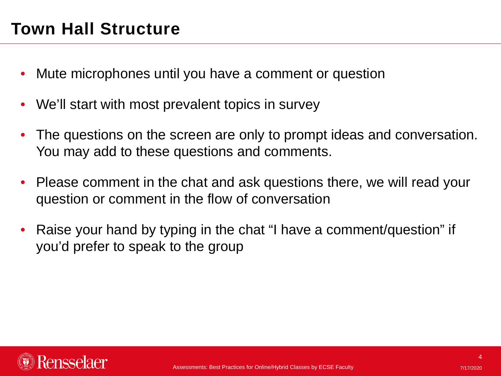# **Town Hall Structure**

- Mute microphones until you have a comment or question
- We'll start with most prevalent topics in survey
- The questions on the screen are only to prompt ideas and conversation. You may add to these questions and comments.
- Please comment in the chat and ask questions there, we will read your question or comment in the flow of conversation
- Raise your hand by typing in the chat "I have a comment/question" if you'd prefer to speak to the group

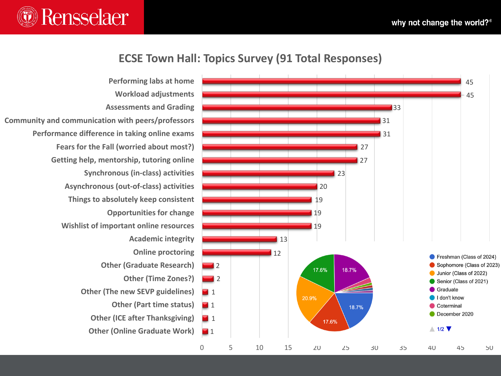

#### **ECSE Town Hall: Topics Survey (91 Total Responses)**

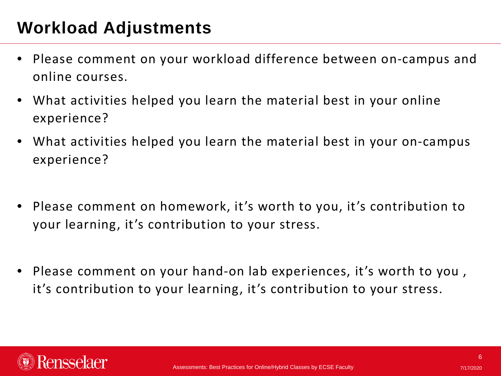# **Workload Adjustments**

- Please comment on your workload difference between on-campus and online courses.
- What activities helped you learn the material best in your online experience?
- What activities helped you learn the material best in your on-campus experience?
- Please comment on homework, it's worth to you, it's contribution to your learning, it's contribution to your stress.
- Please comment on your hand-on lab experiences, it's worth to you , it's contribution to your learning, it's contribution to your stress.

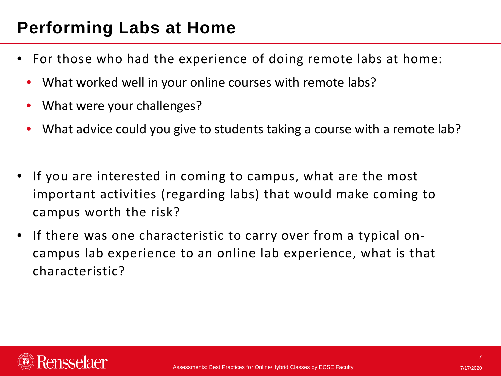# **Performing Labs at Home**

- For those who had the experience of doing remote labs at home:
	- What worked well in your online courses with remote labs?
	- What were your challenges?
	- What advice could you give to students taking a course with a remote lab?
- If you are interested in coming to campus, what are the most important activities (regarding labs) that would make coming to campus worth the risk?
- If there was one characteristic to carry over from a typical oncampus lab experience to an online lab experience, what is that characteristic?

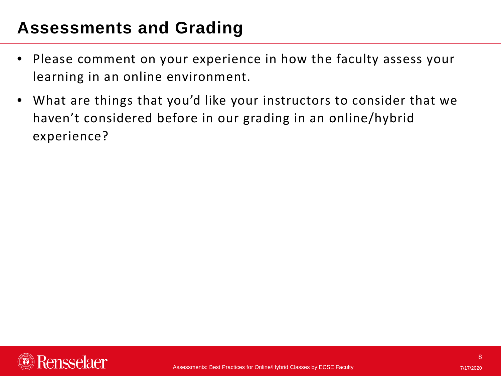# **Assessments and Grading**

- Please comment on your experience in how the faculty assess your learning in an online environment.
- What are things that you'd like your instructors to consider that we haven't considered before in our grading in an online/hybrid experience?

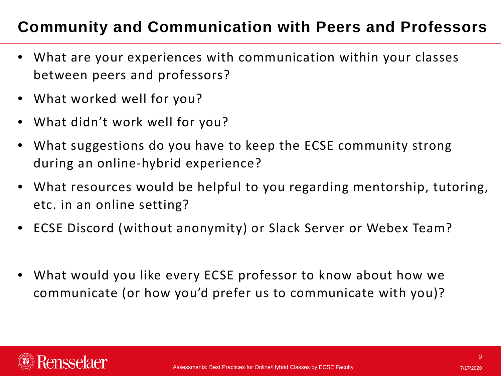## **Community and Communication with Peers and Professors**

- What are your experiences with communication within your classes between peers and professors?
- What worked well for you?
- What didn't work well for you?
- What suggestions do you have to keep the ECSE community strong during an online-hybrid experience?
- What resources would be helpful to you regarding mentorship, tutoring, etc. in an online setting?
- ECSE Discord (without anonymity) or Slack Server or Webex Team?
- What would you like every ECSE professor to know about how we communicate (or how you'd prefer us to communicate with you)?

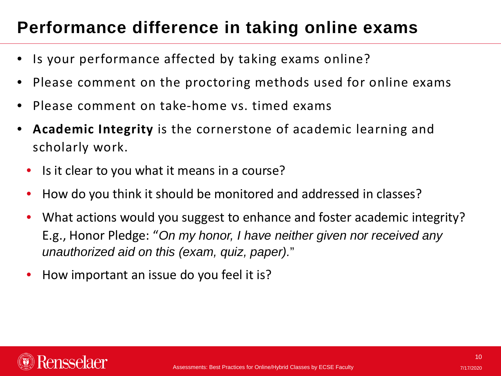# **Performance difference in taking online exams**

- Is your performance affected by taking exams online?
- Please comment on the proctoring methods used for online exams
- Please comment on take-home vs. timed exams
- **Academic Integrity** is the cornerstone of academic learning and scholarly work.
	- Is it clear to you what it means in a course?
	- How do you think it should be monitored and addressed in classes?
	- What actions would you suggest to enhance and foster academic integrity? E.g., Honor Pledge: "*On my honor, I have neither given nor received any unauthorized aid on this (exam, quiz, paper).*"
	- How important an issue do you feel it is?

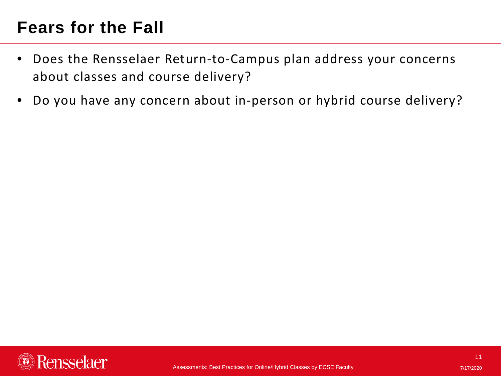# **Fears for the Fall**

- Does the Rensselaer Return-to-Campus plan address your concerns about classes and course delivery?
- Do you have any concern about in-person or hybrid course delivery?

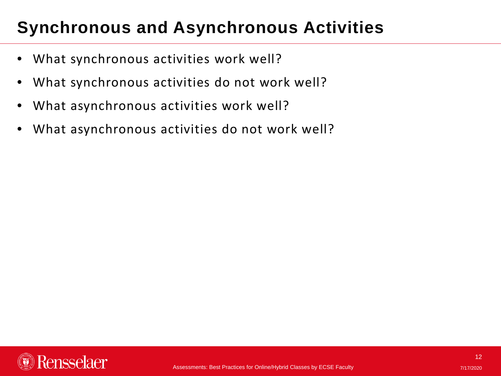# **Synchronous and Asynchronous Activities**

- What synchronous activities work well?
- What synchronous activities do not work well?
- What asynchronous activities work well?
- What asynchronous activities do not work well?

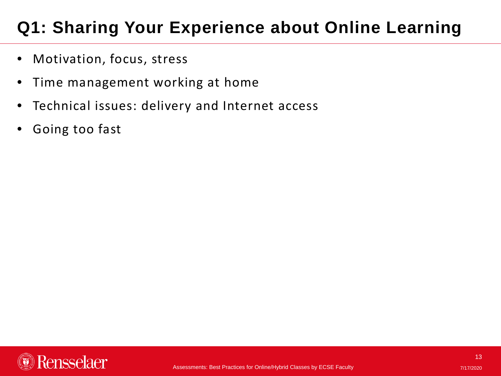# **Q1: Sharing Your Experience about Online Learning**

- Motivation, focus, stress
- Time management working at home
- Technical issues: delivery and Internet access
- Going too fast

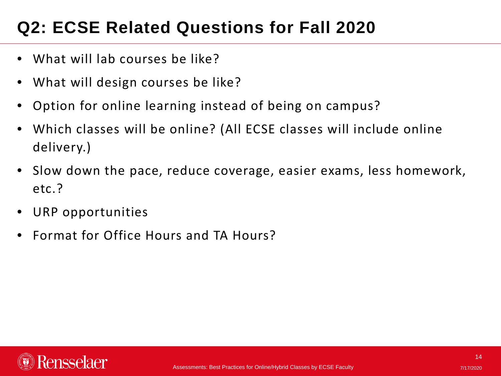# **Q2: ECSE Related Questions for Fall 2020**

- What will lab courses be like?
- What will design courses be like?
- Option for online learning instead of being on campus?
- Which classes will be online? (All ECSE classes will include online delivery.)
- Slow down the pace, reduce coverage, easier exams, less homework, etc.?
- URP opportunities
- Format for Office Hours and TA Hours?

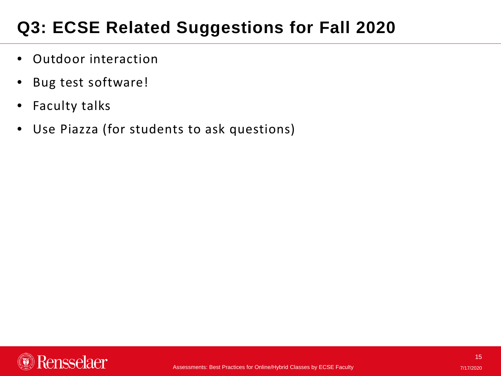# **Q3: ECSE Related Suggestions for Fall 2020**

- Outdoor interaction
- Bug test software!
- Faculty talks
- Use Piazza (for students to ask questions)

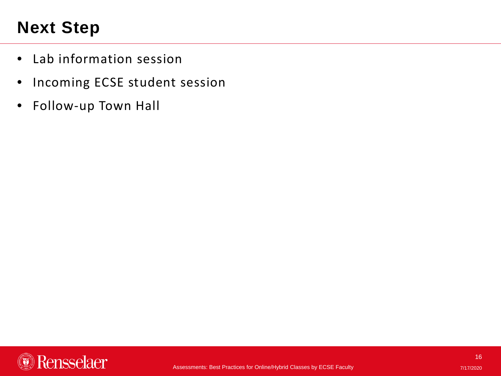# **Next Step**

- Lab information session
- Incoming ECSE student session
- Follow-up Town Hall